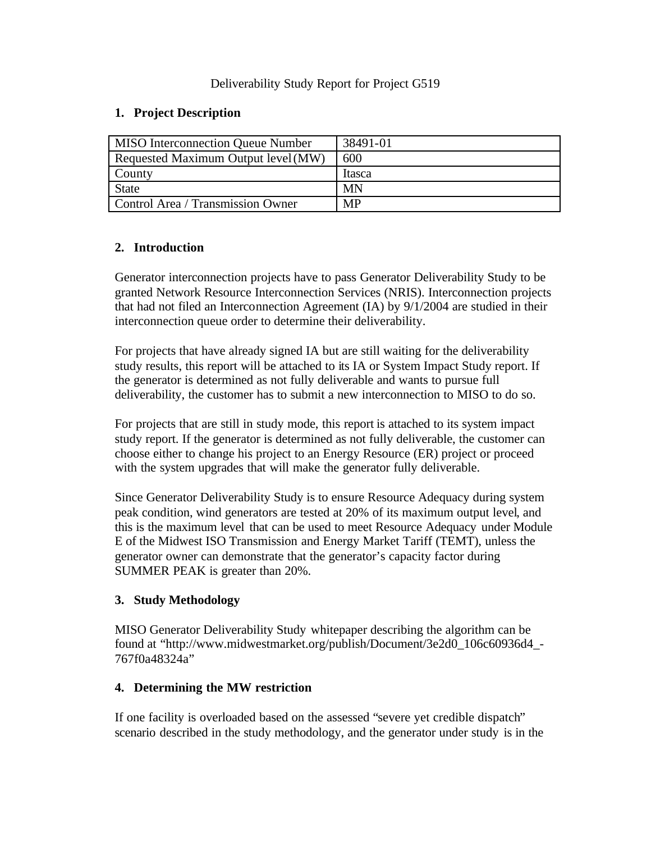### Deliverability Study Report for Project G519

### **1. Project Description**

| <b>MISO</b> Interconnection Queue Number | 38491-01  |  |  |  |  |  |  |
|------------------------------------------|-----------|--|--|--|--|--|--|
| Requested Maximum Output level (MW)      | 600       |  |  |  |  |  |  |
| County                                   | Itasca    |  |  |  |  |  |  |
| <b>State</b>                             | MN        |  |  |  |  |  |  |
| Control Area / Transmission Owner        | <b>MP</b> |  |  |  |  |  |  |

# **2. Introduction**

Generator interconnection projects have to pass Generator Deliverability Study to be granted Network Resource Interconnection Services (NRIS). Interconnection projects that had not filed an Interconnection Agreement (IA) by 9/1/2004 are studied in their interconnection queue order to determine their deliverability.

For projects that have already signed IA but are still waiting for the deliverability study results, this report will be attached to its IA or System Impact Study report. If the generator is determined as not fully deliverable and wants to pursue full deliverability, the customer has to submit a new interconnection to MISO to do so.

For projects that are still in study mode, this report is attached to its system impact study report. If the generator is determined as not fully deliverable, the customer can choose either to change his project to an Energy Resource (ER) project or proceed with the system upgrades that will make the generator fully deliverable.

Since Generator Deliverability Study is to ensure Resource Adequacy during system peak condition, wind generators are tested at 20% of its maximum output level, and this is the maximum level that can be used to meet Resource Adequacy under Module E of the Midwest ISO Transmission and Energy Market Tariff (TEMT), unless the generator owner can demonstrate that the generator's capacity factor during SUMMER PEAK is greater than 20%.

## **3. Study Methodology**

MISO Generator Deliverability Study whitepaper describing the algorithm can be found at "http://www.midwestmarket.org/publish/Document/3e2d0\_106c60936d4\_- 767f0a48324a"

## **4. Determining the MW restriction**

If one facility is overloaded based on the assessed "severe yet credible dispatch" scenario described in the study methodology, and the generator under study is in the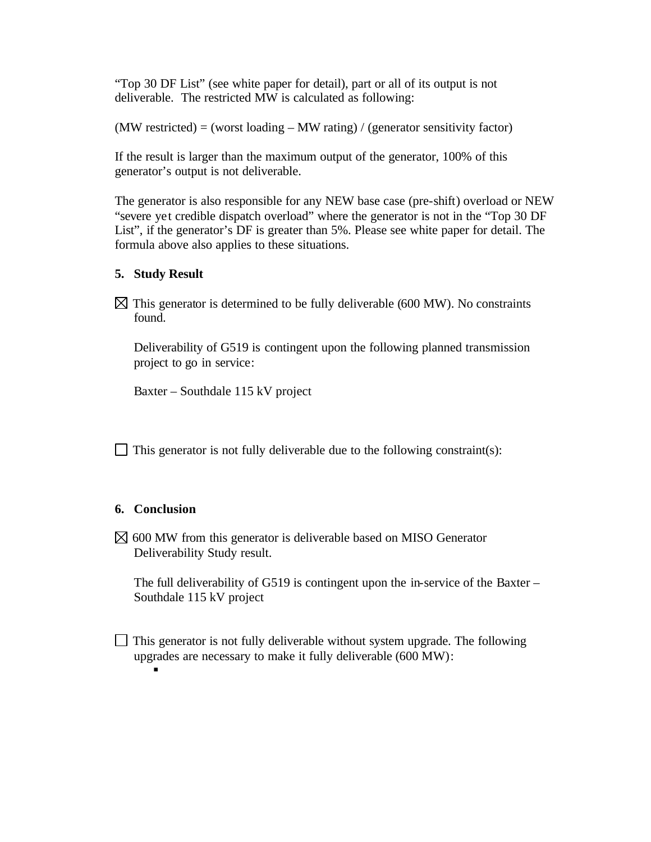"Top 30 DF List" (see white paper for detail), part or all of its output is not deliverable. The restricted MW is calculated as following:

 $(MW$  restricted) = (worst loading  $-MW$  rating) / (generator sensitivity factor)

If the result is larger than the maximum output of the generator, 100% of this generator's output is not deliverable.

The generator is also responsible for any NEW base case (pre-shift) overload or NEW "severe yet credible dispatch overload" where the generator is not in the "Top 30 DF List", if the generator's DF is greater than 5%. Please see white paper for detail. The formula above also applies to these situations.

#### **5. Study Result**

 $\boxtimes$  This generator is determined to be fully deliverable (600 MW). No constraints found.

Deliverability of G519 is contingent upon the following planned transmission project to go in service:

Baxter – Southdale 115 kV project

 $\Box$  This generator is not fully deliverable due to the following constraint(s):

### **6. Conclusion**

ß

 $\boxtimes$  600 MW from this generator is deliverable based on MISO Generator Deliverability Study result.

The full deliverability of G519 is contingent upon the in-service of the Baxter – Southdale 115 kV project

 $\Box$  This generator is not fully deliverable without system upgrade. The following upgrades are necessary to make it fully deliverable (600 MW):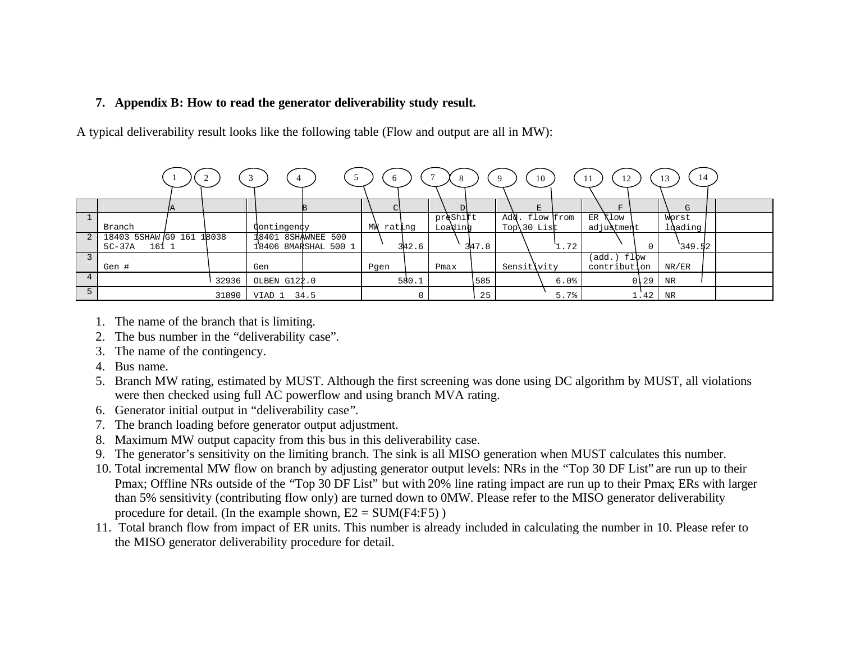### **7. Appendix B: How to read the generator deliverability study result.**

A typical deliverability result looks like the following table (Flow and output are all in MW):

|                 |                    |     |       | 4                  |                      | 6            |       |          |       | -9             | 10          | 12<br>-11                    |        | 14<br>13 |  |
|-----------------|--------------------|-----|-------|--------------------|----------------------|--------------|-------|----------|-------|----------------|-------------|------------------------------|--------|----------|--|
|                 |                    | IA. |       |                    |                      |              |       |          |       |                | F.          | F                            |        | G        |  |
|                 |                    |     |       |                    |                      |              |       | preShift |       | <b>Add</b>     | . flow from | <b>Klow</b><br>ER            |        | Worst    |  |
|                 | Branch             |     |       | Contingency        |                      | МW<br>rating |       | Loading  |       | Top $\30$ List |             | adjustment                   |        | ldading  |  |
| 2               | 18403 5SHAW G9 161 |     | 18038 | 18401 8SHAWNEE 500 |                      |              |       |          |       |                |             |                              |        |          |  |
|                 | 161 1<br>5C-37A    |     |       |                    | 18406 8MARSHAL 500 1 |              | 342.6 |          | 347.8 |                | 1.72        |                              |        | 349.52   |  |
|                 |                    |     |       |                    |                      |              |       |          |       |                |             | $(\text{add.})\ \text{f1bw}$ |        |          |  |
|                 | Gen #              |     |       | Gen                |                      | Pgen         |       | Pmax     |       | Sensitivity    |             | contribution                 |        | NR/ER    |  |
| $4\overline{ }$ |                    |     | 32936 | OLBEN G122.0       |                      |              | 580.1 |          | 585   |                | 6.0%        |                              | $0$ 29 | NR       |  |
| $5^{\circ}$     |                    |     | 31890 | VIAD 1             | 34.5                 |              |       |          | 25    |                | 5.7%        |                              | 1.42   | NR       |  |

- 1. The name of the branch that is limiting.
- 2. The bus number in the "deliverability case".
- 3. The name of the contingency.
- 4. Bus name.
- 5. Branch MW rating, estimated by MUST. Although the first screening was done using DC algorithm by MUST, all violations were then checked using full AC powerflow and using branch MVA rating.
- 6. Generator initial output in "deliverability case".
- 7. The branch loading before generator output adjustment.
- 8. Maximum MW output capacity from this bus in this deliverability case.
- 9. The generator's sensitivity on the limiting branch. The sink is all MISO generation when MUST calculates this number.
- 10. Total incremental MW flow on branch by adjusting generator output levels: NRs in the "Top 30 DF List" are run up to their Pmax; Offline NRs outside of the "Top 30 DF List" but with 20% line rating impact are run up to their Pmax; ERs with larger than 5% sensitivity (contributing flow only) are turned down to 0MW. Please refer to the MISO generator deliverability procedure for detail. (In the example shown,  $E2 = SUM(F4:F5)$ )
- 11. Total branch flow from impact of ER units. This number is already included in calculating the number in 10. Please refer to the MISO generator deliverability procedure for detail.